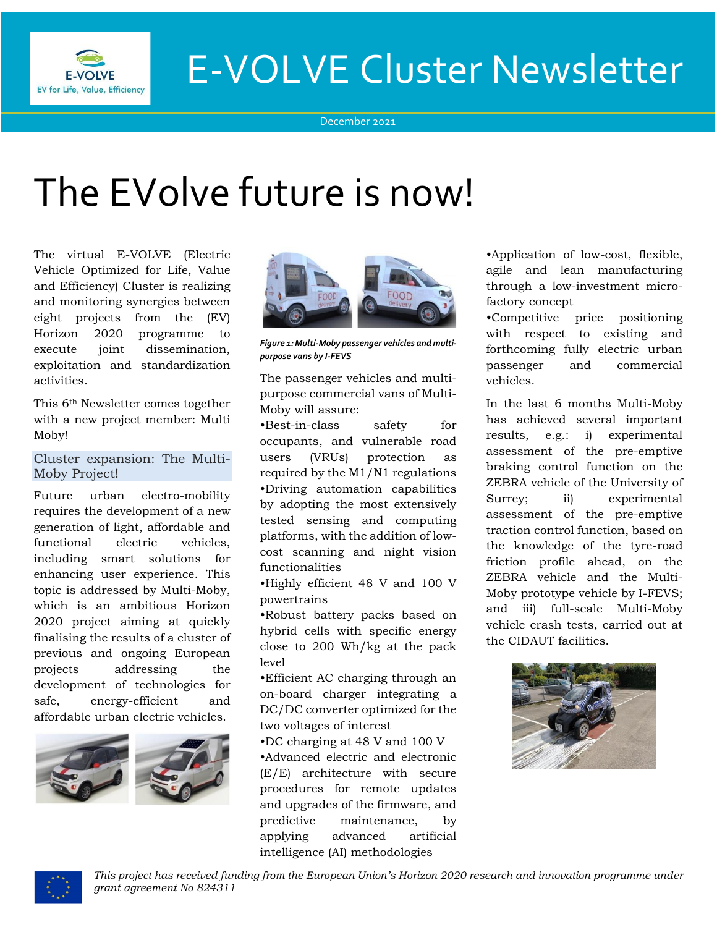

# E-VOLVE Cluster Newsletter

December 2021

# The EVolve future is now!

The virtual E-VOLVE (Electric Vehicle Optimized for Life, Value and Efficiency) Cluster is realizing and monitoring synergies between eight projects from the (EV) Horizon 2020 programme to execute joint dissemination, exploitation and standardization activities.

This 6th Newsletter comes together with a new project member: Multi Moby!

# Cluster expansion: The Multi-Moby Project!

Future urban electro-mobility requires the development of a new generation of light, affordable and functional electric vehicles, including smart solutions for enhancing user experience. This topic is addressed by Multi-Moby, which is an ambitious Horizon 2020 project aiming at quickly finalising the results of a cluster of previous and ongoing European projects addressing the development of technologies for safe, energy-efficient and affordable urban electric vehicles.





*Figure 1: Multi-Moby passenger vehicles and multipurpose vans by I-FEVS*

The passenger vehicles and multipurpose commercial vans of Multi-Moby will assure:

•Best-in-class safety for occupants, and vulnerable road users (VRUs) protection as required by the M1/N1 regulations •Driving automation capabilities by adopting the most extensively tested sensing and computing platforms, with the addition of lowcost scanning and night vision functionalities

•Highly efficient 48 V and 100 V powertrains

•Robust battery packs based on hybrid cells with specific energy close to 200 Wh/kg at the pack level

•Efficient AC charging through an on-board charger integrating a DC/DC converter optimized for the two voltages of interest

•DC charging at 48 V and 100 V •Advanced electric and electronic (E/E) architecture with secure procedures for remote updates and upgrades of the firmware, and predictive maintenance, by applying advanced artificial intelligence (AI) methodologies

•Application of low-cost, flexible, agile and lean manufacturing through a low-investment microfactory concept

•Competitive price positioning with respect to existing and forthcoming fully electric urban passenger and commercial vehicles.

In the last 6 months Multi-Moby has achieved several important results, e.g.: i) experimental assessment of the pre-emptive braking control function on the ZEBRA vehicle of the University of Surrey; ii) experimental assessment of the pre-emptive traction control function, based on the knowledge of the tyre-road friction profile ahead, on the ZEBRA vehicle and the Multi-Moby prototype vehicle by I-FEVS; and iii) full-scale Multi-Moby vehicle crash tests, carried out at the CIDAUT facilities.



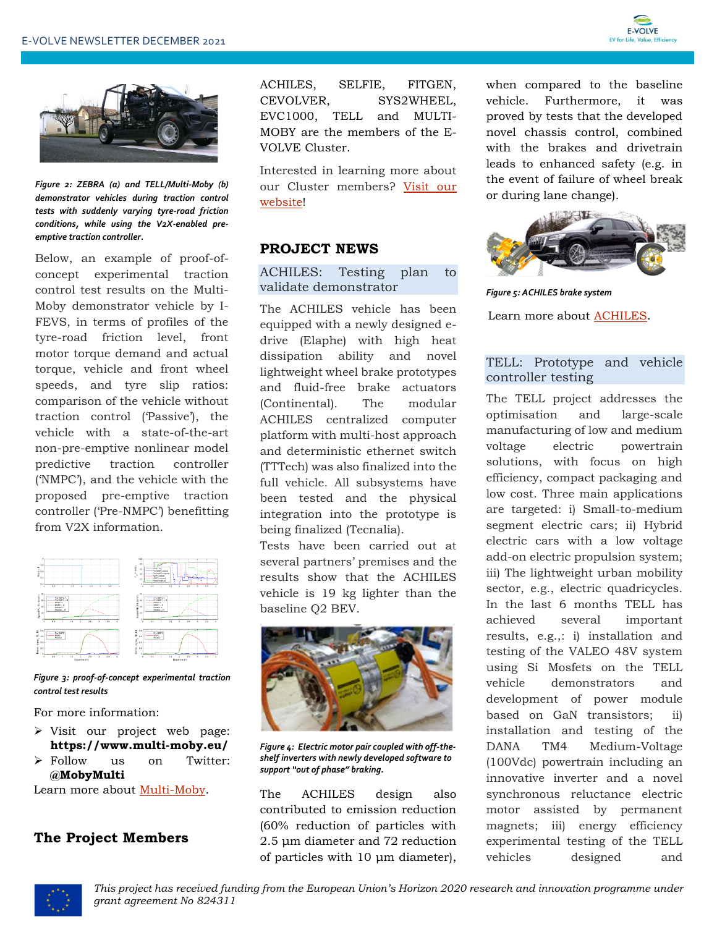



*Figure 2: ZEBRA (a) and TELL/Multi-Moby (b) demonstrator vehicles during traction control tests with suddenly varying tyre-road friction conditions, while using the V2X-enabled preemptive traction controller.*

Below, an example of proof-ofconcept experimental traction control test results on the Multi-Moby demonstrator vehicle by I-FEVS, in terms of profiles of the tyre-road friction level, front motor torque demand and actual torque, vehicle and front wheel speeds, and tyre slip ratios: comparison of the vehicle without traction control ('Passive'), the vehicle with a state-of-the-art non-pre-emptive nonlinear model predictive traction controller ('NMPC'), and the vehicle with the proposed pre-emptive traction controller ('Pre-NMPC') benefitting from V2X information.



*Figure 3: proof-of-concept experimental traction control test results*

For more information:

- ➢ Visit our project web page: **https://www.multi-moby.eu/**
- ➢ Follow us on Twitter: **@MobyMulti**

Learn more about [Multi-Moby.](https://www.h2020-evolvecluster.eu/multi-moby-h2020-project)

# **The Project Members**

ACHILES, SELFIE, FITGEN, CEVOLVER, SYS2WHEEL, EVC1000, TELL and MULTI-MOBY are the members of the E-VOLVE Cluster.

Interested in learning more about our Cluster members? Visit our [website!](https://www.h2020-evolvecluster.eu/project-members)

#### **PROJECT NEWS**

#### ACHILES: Testing plan to validate demonstrator

The ACHILES vehicle has been equipped with a newly designed edrive (Elaphe) with high heat dissipation ability and novel lightweight wheel brake prototypes and fluid-free brake actuators (Continental). The modular ACHILES centralized computer platform with multi-host approach and deterministic ethernet switch (TTTech) was also finalized into the full vehicle. All subsystems have been tested and the physical integration into the prototype is being finalized (Tecnalia).

Tests have been carried out at several partners' premises and the results show that the ACHILES vehicle is 19 kg lighter than the baseline Q2 BEV.



*Figure 4: Electric motor pair coupled with off-theshelf inverters with newly developed software to support "out of phase" braking.*

The ACHILES design also contributed to emission reduction (60% reduction of particles with 2.5 μm diameter and 72 reduction of particles with 10 μm diameter),

when compared to the baseline vehicle. Furthermore, it was proved by tests that the developed novel chassis control, combined with the brakes and drivetrain leads to enhanced safety (e.g. in the event of failure of wheel break or during lane change).



*Figure 5: ACHILES brake system* Learn more about [ACHILES.](https://www.h2020-achiles.eu/)

# TELL: Prototype and vehicle controller testing

The TELL project addresses the optimisation and large-scale manufacturing of low and medium voltage electric powertrain solutions, with focus on high efficiency, compact packaging and low cost. Three main applications are targeted: i) Small-to-medium segment electric cars; ii) Hybrid electric cars with a low voltage add-on electric propulsion system; iii) The lightweight urban mobility sector, e.g., electric quadricycles. In the last 6 months TELL has achieved several important results, e.g.,: i) installation and testing of the VALEO 48V system using Si Mosfets on the TELL vehicle demonstrators and development of power module based on GaN transistors; ii) installation and testing of the DANA TM4 Medium-Voltage (100Vdc) powertrain including an innovative inverter and a novel synchronous reluctance electric motor assisted by permanent magnets; iii) energy efficiency experimental testing of the TELL vehicles designed and

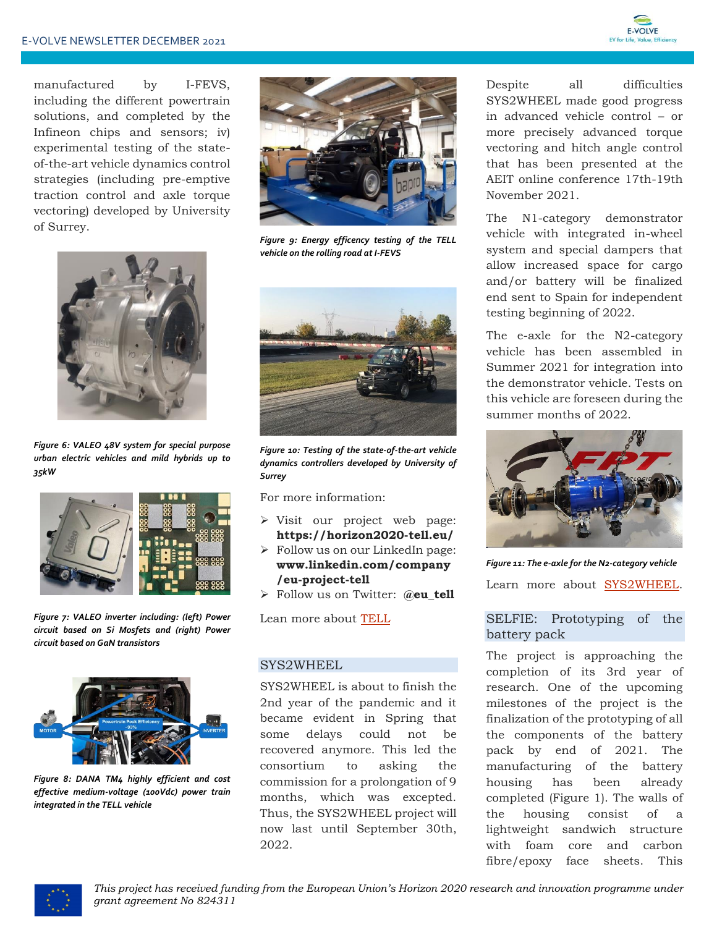

manufactured by I-FEVS, including the different powertrain solutions, and completed by the Infineon chips and sensors; iv) experimental testing of the stateof-the-art vehicle dynamics control strategies (including pre-emptive traction control and axle torque vectoring) developed by University of Surrey.



*Figure 6: VALEO 48V system for special purpose urban electric vehicles and mild hybrids up to 35kW*



*Figure 7: VALEO inverter including: (left) Power circuit based on Si Mosfets and (right) Power circuit based on GaN transistors*



*Figure 8: DANA TM4 highly efficient and cost effective medium-voltage (100Vdc) power train integrated in the TELL vehicle*



*Figure 9: Energy efficency testing of the TELL vehicle on the rolling road at I-FEVS*



*Figure 10: Testing of the state-of-the-art vehicle dynamics controllers developed by University of Surrey*

For more information:

- ➢ Visit our project web page: **https://horizon2020-tell.eu/**
- ➢ Follow us on our LinkedIn page: **www.linkedin.com/company /eu-project-tell**
- ➢ Follow us on Twitter: **@eu\_tell**

Lean more about [TELL](https://www.h2020-evolvecluster.eu/tell-h2020-project)

#### SYS2WHEEL

SYS2WHEEL is about to finish the 2nd year of the pandemic and it became evident in Spring that some delays could not be recovered anymore. This led the consortium to asking the commission for a prolongation of 9 months, which was excepted. Thus, the SYS2WHEEL project will now last until September 30th, 2022.

Despite all difficulties SYS2WHEEL made good progress in advanced vehicle control – or more precisely advanced torque vectoring and hitch angle control that has been presented at the AEIT online conference 17th-19th November 2021.

The N1-category demonstrator vehicle with integrated in-wheel system and special dampers that allow increased space for cargo and/or battery will be finalized end sent to Spain for independent testing beginning of 2022.

The e-axle for the N2-category vehicle has been assembled in Summer 2021 for integration into the demonstrator vehicle. Tests on this vehicle are foreseen during the summer months of 2022.



*Figure 11: The e-axle for the N2-category vehicle*

Learn more about [SYS2WHEEL.](https://sys2wheel.eu/)

#### SELFIE: Prototyping of the battery pack

The project is approaching the completion of its 3rd year of research. One of the upcoming milestones of the project is the finalization of the prototyping of all the components of the battery pack by end of 2021. The manufacturing of the battery housing has been already completed (Figure 1). The walls of the housing consist of a lightweight sandwich structure with foam core and carbon fibre/epoxy face sheets. This

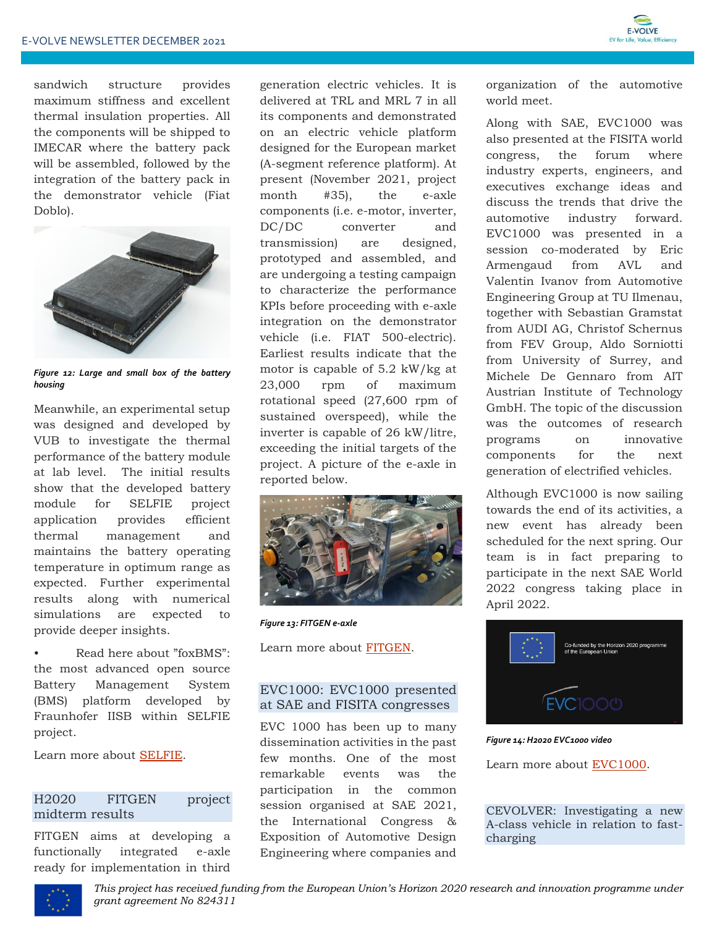sandwich structure provides maximum stiffness and excellent thermal insulation properties. All the components will be shipped to IMECAR where the battery pack will be assembled, followed by the integration of the battery pack in the demonstrator vehicle (Fiat Doblo).



*Figure 12: Large and small box of the battery housing*

Meanwhile, an experimental setup was designed and developed by VUB to investigate the thermal performance of the battery module at lab level. The initial results show that the developed battery module for SELFIE project application provides efficient thermal management and maintains the battery operating temperature in optimum range as expected. Further experimental results along with numerical simulations are expected to provide deeper insights.

• Read here about "foxBMS": the most advanced open source Battery Management System (BMS) platform developed by Fraunhofer IISB within SELFIE project.

Learn more about [SELFIE.](https://eu-project-selfie.eu/)

# H2020 FITGEN project midterm results

FITGEN aims at developing a functionally integrated e-axle ready for implementation in third

generation electric vehicles. It is delivered at TRL and MRL 7 in all its components and demonstrated on an electric vehicle platform designed for the European market (A-segment reference platform). At present (November 2021, project month #35), the e-axle components (i.e. e-motor, inverter, DC/DC converter and transmission) are designed, prototyped and assembled, and are undergoing a testing campaign to characterize the performance KPIs before proceeding with e-axle integration on the demonstrator vehicle (i.e. FIAT 500-electric). Earliest results indicate that the motor is capable of 5.2 kW/kg at 23,000 rpm of maximum rotational speed (27,600 rpm of sustained overspeed), while the inverter is capable of 26 kW/litre, exceeding the initial targets of the project. A picture of the e-axle in reported below.



*Figure 13: FITGEN e-axle2021).*

Learn more about [FITGEN.](https://www.fitgen-project.eu/)

# EVC1000: EVC1000 presented at SAE and FISITA congresses

EVC 1000 has been up to many dissemination activities in the past few months. One of the most remarkable events was the participation in the common session organised at SAE 2021, the International Congress & Exposition of Automotive Design Engineering where companies and

organization of the automotive world meet.

Along with SAE, EVC1000 was also presented at the FISITA world congress, the forum where industry experts, engineers, and executives exchange ideas and discuss the trends that drive the automotive industry forward. EVC1000 was presented in a session co-moderated by Eric Armengaud from AVL and Valentin Ivanov from Automotive Engineering Group at TU Ilmenau, together with Sebastian Gramstat from AUDI AG, Christof Schernus from FEV Group, Aldo Sorniotti from University of Surrey, and Michele De Gennaro from AIT Austrian Institute of Technology GmbH. The topic of the discussion was the outcomes of research programs on innovative components for the next generation of electrified vehicles.

Although EVC1000 is now sailing towards the end of its activities, a new event has already been scheduled for the next spring. Our team is in fact preparing to participate in the next SAE World 2022 congress taking place in April 2022.



*Figure 14: H2020 EVC1000 video*

Learn more about **EVC1000**.

CEVOLVER: Investigating a new A-class vehicle in relation to fastcharging